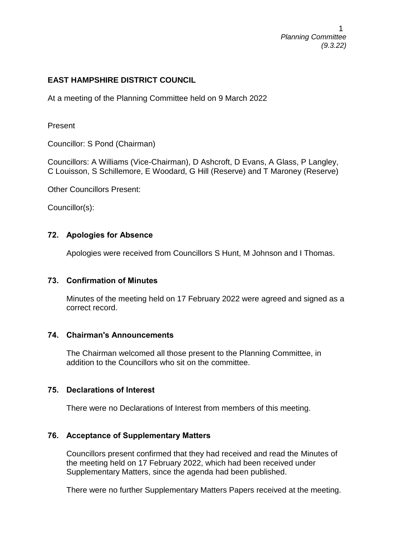1 *Planning Committee (9.3.22)*

#### **EAST HAMPSHIRE DISTRICT COUNCIL**

At a meeting of the Planning Committee held on 9 March 2022

Present

Councillor: S Pond (Chairman)

Councillors: A Williams (Vice-Chairman), D Ashcroft, D Evans, A Glass, P Langley, C Louisson, S Schillemore, E Woodard, G Hill (Reserve) and T Maroney (Reserve)

Other Councillors Present:

Councillor(s):

#### **72. Apologies for Absence**

Apologies were received from Councillors S Hunt, M Johnson and I Thomas.

#### **73. Confirmation of Minutes**

Minutes of the meeting held on 17 February 2022 were agreed and signed as a correct record.

#### **74. Chairman's Announcements**

The Chairman welcomed all those present to the Planning Committee, in addition to the Councillors who sit on the committee.

#### **75. Declarations of Interest**

There were no Declarations of Interest from members of this meeting.

#### **76. Acceptance of Supplementary Matters**

Councillors present confirmed that they had received and read the Minutes of the meeting held on 17 February 2022, which had been received under Supplementary Matters, since the agenda had been published.

There were no further Supplementary Matters Papers received at the meeting.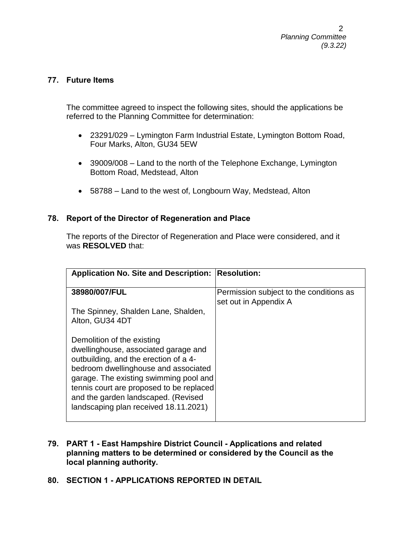#### **77. Future Items**

The committee agreed to inspect the following sites, should the applications be referred to the Planning Committee for determination:

- 23291/029 Lymington Farm Industrial Estate, Lymington Bottom Road, Four Marks, Alton, GU34 5EW
- 39009/008 Land to the north of the Telephone Exchange, Lymington Bottom Road, Medstead, Alton
- 58788 Land to the west of, Longbourn Way, Medstead, Alton

#### **78. Report of the Director of Regeneration and Place**

The reports of the Director of Regeneration and Place were considered, and it was **RESOLVED** that:

| Application No. Site and Description: Resolution:                                                                                                                                                                                                                                                                         |                                                                  |
|---------------------------------------------------------------------------------------------------------------------------------------------------------------------------------------------------------------------------------------------------------------------------------------------------------------------------|------------------------------------------------------------------|
| 38980/007/FUL                                                                                                                                                                                                                                                                                                             | Permission subject to the conditions as<br>set out in Appendix A |
| The Spinney, Shalden Lane, Shalden,<br>Alton, GU34 4DT                                                                                                                                                                                                                                                                    |                                                                  |
| Demolition of the existing<br>dwellinghouse, associated garage and<br>outbuilding, and the erection of a 4-<br>bedroom dwellinghouse and associated<br>garage. The existing swimming pool and<br>tennis court are proposed to be replaced<br>and the garden landscaped. (Revised<br>landscaping plan received 18.11.2021) |                                                                  |

- **79. PART 1 - East Hampshire District Council - Applications and related planning matters to be determined or considered by the Council as the local planning authority.**
- **80. SECTION 1 - APPLICATIONS REPORTED IN DETAIL**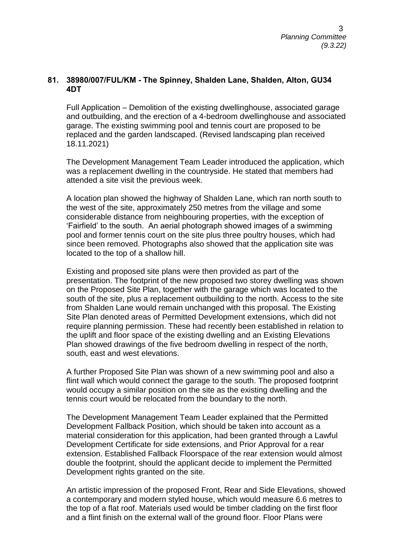#### **81. 38980/007/FUL/KM - The Spinney, Shalden Lane, Shalden, Alton, GU34 4DT**

Full Application – Demolition of the existing dwellinghouse, associated garage and outbuilding, and the erection of a 4-bedroom dwellinghouse and associated garage. The existing swimming pool and tennis court are proposed to be replaced and the garden landscaped. (Revised landscaping plan received 18.11.2021)

The Development Management Team Leader introduced the application, which was a replacement dwelling in the countryside. He stated that members had attended a site visit the previous week.

A location plan showed the highway of Shalden Lane, which ran north south to the west of the site, approximately 250 metres from the village and some considerable distance from neighbouring properties, with the exception of 'Fairfield' to the south. An aerial photograph showed images of a swimming pool and former tennis court on the site plus three poultry houses, which had since been removed. Photographs also showed that the application site was located to the top of a shallow hill.

Existing and proposed site plans were then provided as part of the presentation. The footprint of the new proposed two storey dwelling was shown on the Proposed Site Plan, together with the garage which was located to the south of the site, plus a replacement outbuilding to the north. Access to the site from Shalden Lane would remain unchanged with this proposal. The Existing Site Plan denoted areas of Permitted Development extensions, which did not require planning permission. These had recently been established in relation to the uplift and floor space of the existing dwelling and an Existing Elevations Plan showed drawings of the five bedroom dwelling in respect of the north, south, east and west elevations.

A further Proposed Site Plan was shown of a new swimming pool and also a flint wall which would connect the garage to the south. The proposed footprint would occupy a similar position on the site as the existing dwelling and the tennis court would be relocated from the boundary to the north.

The Development Management Team Leader explained that the Permitted Development Fallback Position, which should be taken into account as a material consideration for this application, had been granted through a Lawful Development Certificate for side extensions, and Prior Approval for a rear extension. Established Fallback Floorspace of the rear extension would almost double the footprint, should the applicant decide to implement the Permitted Development rights granted on the site.

An artistic impression of the proposed Front, Rear and Side Elevations, showed a contemporary and modern styled house, which would measure 6.6 metres to the top of a flat roof. Materials used would be timber cladding on the first floor and a flint finish on the external wall of the ground floor. Floor Plans were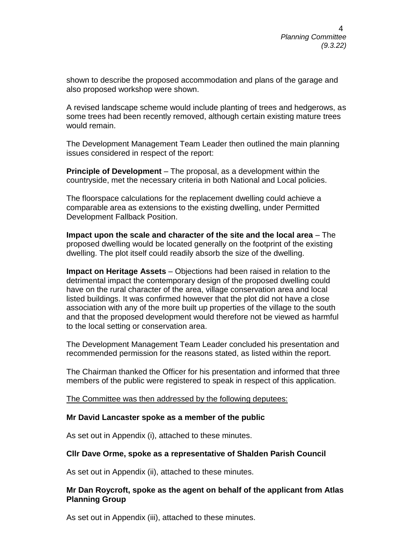shown to describe the proposed accommodation and plans of the garage and also proposed workshop were shown.

A revised landscape scheme would include planting of trees and hedgerows, as some trees had been recently removed, although certain existing mature trees would remain.

The Development Management Team Leader then outlined the main planning issues considered in respect of the report:

**Principle of Development** – The proposal, as a development within the countryside, met the necessary criteria in both National and Local policies.

The floorspace calculations for the replacement dwelling could achieve a comparable area as extensions to the existing dwelling, under Permitted Development Fallback Position.

**Impact upon the scale and character of the site and the local area** – The proposed dwelling would be located generally on the footprint of the existing dwelling. The plot itself could readily absorb the size of the dwelling.

**Impact on Heritage Assets** – Objections had been raised in relation to the detrimental impact the contemporary design of the proposed dwelling could have on the rural character of the area, village conservation area and local listed buildings. It was confirmed however that the plot did not have a close association with any of the more built up properties of the village to the south and that the proposed development would therefore not be viewed as harmful to the local setting or conservation area.

The Development Management Team Leader concluded his presentation and recommended permission for the reasons stated, as listed within the report.

The Chairman thanked the Officer for his presentation and informed that three members of the public were registered to speak in respect of this application.

The Committee was then addressed by the following deputees:

#### **Mr David Lancaster spoke as a member of the public**

As set out in Appendix (i), attached to these minutes.

#### **Cllr Dave Orme, spoke as a representative of Shalden Parish Council**

As set out in Appendix (ii), attached to these minutes.

#### **Mr Dan Roycroft, spoke as the agent on behalf of the applicant from Atlas Planning Group**

As set out in Appendix (iii), attached to these minutes.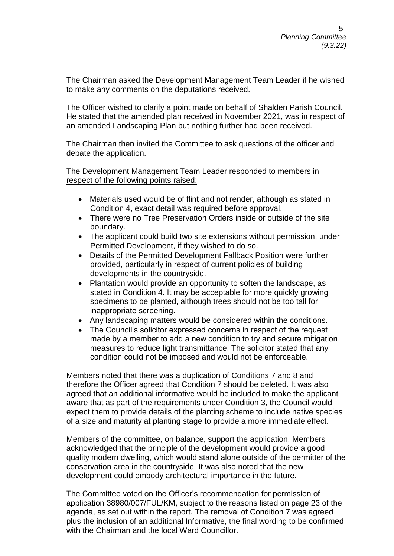The Chairman asked the Development Management Team Leader if he wished to make any comments on the deputations received.

The Officer wished to clarify a point made on behalf of Shalden Parish Council. He stated that the amended plan received in November 2021, was in respect of an amended Landscaping Plan but nothing further had been received.

The Chairman then invited the Committee to ask questions of the officer and debate the application.

The Development Management Team Leader responded to members in respect of the following points raised:

- Materials used would be of flint and not render, although as stated in Condition 4, exact detail was required before approval.
- There were no Tree Preservation Orders inside or outside of the site boundary.
- The applicant could build two site extensions without permission, under Permitted Development, if they wished to do so.
- Details of the Permitted Development Fallback Position were further provided, particularly in respect of current policies of building developments in the countryside.
- Plantation would provide an opportunity to soften the landscape, as stated in Condition 4. It may be acceptable for more quickly growing specimens to be planted, although trees should not be too tall for inappropriate screening.
- Any landscaping matters would be considered within the conditions.
- The Council's solicitor expressed concerns in respect of the request made by a member to add a new condition to try and secure mitigation measures to reduce light transmittance. The solicitor stated that any condition could not be imposed and would not be enforceable.

Members noted that there was a duplication of Conditions 7 and 8 and therefore the Officer agreed that Condition 7 should be deleted. It was also agreed that an additional informative would be included to make the applicant aware that as part of the requirements under Condition 3, the Council would expect them to provide details of the planting scheme to include native species of a size and maturity at planting stage to provide a more immediate effect.

Members of the committee, on balance, support the application. Members acknowledged that the principle of the development would provide a good quality modern dwelling, which would stand alone outside of the permitter of the conservation area in the countryside. It was also noted that the new development could embody architectural importance in the future.

The Committee voted on the Officer's recommendation for permission of application 38980/007/FUL/KM, subject to the reasons listed on page 23 of the agenda, as set out within the report. The removal of Condition 7 was agreed plus the inclusion of an additional Informative, the final wording to be confirmed with the Chairman and the local Ward Councillor.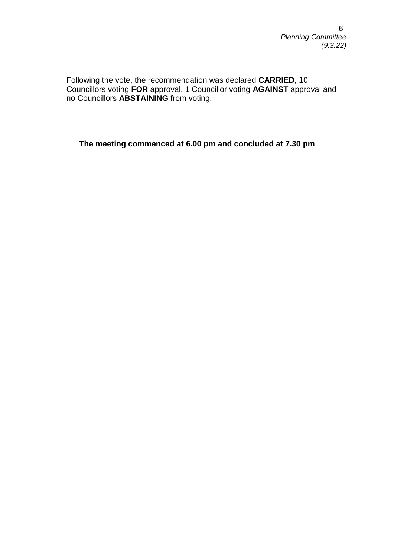Following the vote, the recommendation was declared **CARRIED**, 10 Councillors voting **FOR** approval, 1 Councillor voting **AGAINST** approval and no Councillors **ABSTAINING** from voting.

**The meeting commenced at 6.00 pm and concluded at 7.30 pm**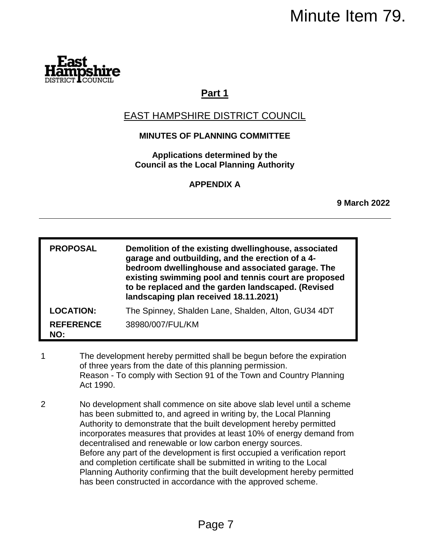

# **Part 1**

# EAST HAMPSHIRE DISTRICT COUNCIL

## **MINUTES OF PLANNING COMMITTEE**

|   |                         | Minute Item 79.                                                                                                                                                                                                                                                                                                                                                                                                                                                                                                                                                                                                                                                 |                     |
|---|-------------------------|-----------------------------------------------------------------------------------------------------------------------------------------------------------------------------------------------------------------------------------------------------------------------------------------------------------------------------------------------------------------------------------------------------------------------------------------------------------------------------------------------------------------------------------------------------------------------------------------------------------------------------------------------------------------|---------------------|
|   |                         |                                                                                                                                                                                                                                                                                                                                                                                                                                                                                                                                                                                                                                                                 |                     |
|   |                         | Part 1                                                                                                                                                                                                                                                                                                                                                                                                                                                                                                                                                                                                                                                          |                     |
|   |                         | <u>EAST HAMPSHIRE DISTRICT COUNCIL</u>                                                                                                                                                                                                                                                                                                                                                                                                                                                                                                                                                                                                                          |                     |
|   |                         | <b>MINUTES OF PLANNING COMMITTEE</b>                                                                                                                                                                                                                                                                                                                                                                                                                                                                                                                                                                                                                            |                     |
|   |                         | Applications determined by the<br><b>Council as the Local Planning Authority</b>                                                                                                                                                                                                                                                                                                                                                                                                                                                                                                                                                                                |                     |
|   |                         | <b>APPENDIX A</b>                                                                                                                                                                                                                                                                                                                                                                                                                                                                                                                                                                                                                                               |                     |
|   |                         |                                                                                                                                                                                                                                                                                                                                                                                                                                                                                                                                                                                                                                                                 | <b>9 March 2022</b> |
|   |                         |                                                                                                                                                                                                                                                                                                                                                                                                                                                                                                                                                                                                                                                                 |                     |
|   | <b>PROPOSAL</b>         | Demolition of the existing dwellinghouse, associated<br>garage and outbuilding, and the erection of a 4-<br>bedroom dwellinghouse and associated garage. The<br>existing swimming pool and tennis court are proposed<br>to be replaced and the garden landscaped. (Revised<br>landscaping plan received 18.11.2021)                                                                                                                                                                                                                                                                                                                                             |                     |
|   | <b>LOCATION:</b>        | The Spinney, Shalden Lane, Shalden, Alton, GU34 4DT                                                                                                                                                                                                                                                                                                                                                                                                                                                                                                                                                                                                             |                     |
|   | <b>REFERENCE</b><br>NO: | 38980/007/FUL/KM                                                                                                                                                                                                                                                                                                                                                                                                                                                                                                                                                                                                                                                |                     |
| 1 | Act 1990.               | The development hereby permitted shall be begun before the expiration<br>of three years from the date of this planning permission.<br>Reason - To comply with Section 91 of the Town and Country Planning                                                                                                                                                                                                                                                                                                                                                                                                                                                       |                     |
| 2 |                         | No development shall commence on site above slab level until a scheme<br>has been submitted to, and agreed in writing by, the Local Planning<br>Authority to demonstrate that the built development hereby permitted<br>incorporates measures that provides at least 10% of energy demand from<br>decentralised and renewable or low carbon energy sources.<br>Before any part of the development is first occupied a verification report<br>and completion certificate shall be submitted in writing to the Local<br>Planning Authority confirming that the built development hereby permitted<br>has been constructed in accordance with the approved scheme. |                     |
|   |                         | Page 7                                                                                                                                                                                                                                                                                                                                                                                                                                                                                                                                                                                                                                                          |                     |

- 1 The development hereby permitted shall be begun before the expiration of three years from the date of this planning permission. Reason - To comply with Section 91 of the Town and Country Planning Act 1990.
- 2 No development shall commence on site above slab level until a scheme has been submitted to, and agreed in writing by, the Local Planning Authority to demonstrate that the built development hereby permitted incorporates measures that provides at least 10% of energy demand from decentralised and renewable or low carbon energy sources. Before any part of the development is first occupied a verification report and completion certificate shall be submitted in writing to the Local Planning Authority confirming that the built development hereby permitted has been constructed in accordance with the approved scheme.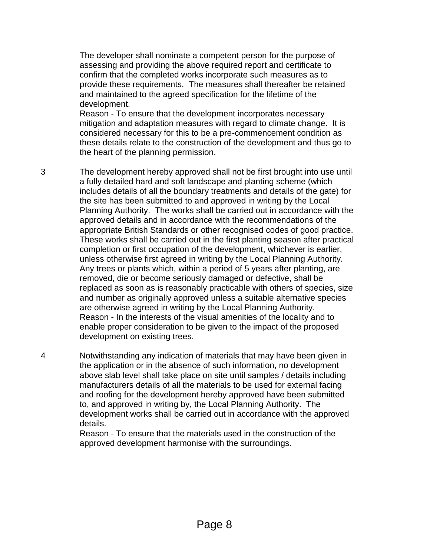The developer shall nominate a competent person for the purpose of assessing and providing the above required report and certificate to confirm that the completed works incorporate such measures as to provide these requirements. The measures shall thereafter be retained and maintained to the agreed specification for the lifetime of the development.

Reason - To ensure that the development incorporates necessary mitigation and adaptation measures with regard to climate change. It is considered necessary for this to be a pre-commencement condition as these details relate to the construction of the development and thus go to the heart of the planning permission.

3 The development hereby approved shall not be first brought into use until a fully detailed hard and soft landscape and planting scheme (which includes details of all the boundary treatments and details of the gate) for the site has been submitted to and approved in writing by the Local Planning Authority. The works shall be carried out in accordance with the approved details and in accordance with the recommendations of the appropriate British Standards or other recognised codes of good practice. These works shall be carried out in the first planting season after practical completion or first occupation of the development, whichever is earlier, unless otherwise first agreed in writing by the Local Planning Authority. Any trees or plants which, within a period of 5 years after planting, are removed, die or become seriously damaged or defective, shall be replaced as soon as is reasonably practicable with others of species, size and number as originally approved unless a suitable alternative species are otherwise agreed in writing by the Local Planning Authority. Reason - In the interests of the visual amenities of the locality and to enable proper consideration to be given to the impact of the proposed development on existing trees.

4 Notwithstanding any indication of materials that may have been given in the application or in the absence of such information, no development above slab level shall take place on site until samples / details including manufacturers details of all the materials to be used for external facing and roofing for the development hereby approved have been submitted to, and approved in writing by, the Local Planning Authority. The development works shall be carried out in accordance with the approved details.

> Reason - To ensure that the materials used in the construction of the approved development harmonise with the surroundings.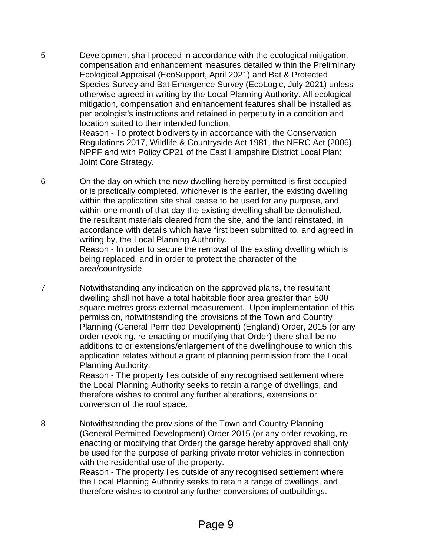5 Development shall proceed in accordance with the ecological mitigation, compensation and enhancement measures detailed within the Preliminary Ecological Appraisal (EcoSupport, April 2021) and Bat & Protected Species Survey and Bat Emergence Survey (EcoLogic, July 2021) unless otherwise agreed in writing by the Local Planning Authority. All ecological mitigation, compensation and enhancement features shall be installed as per ecologist's instructions and retained in perpetuity in a condition and location suited to their intended function. Reason - To protect biodiversity in accordance with the Conservation

Regulations 2017, Wildlife & Countryside Act 1981, the NERC Act (2006), NPPF and with Policy CP21 of the East Hampshire District Local Plan: Joint Core Strategy.

6 On the day on which the new dwelling hereby permitted is first occupied or is practically completed, whichever is the earlier, the existing dwelling within the application site shall cease to be used for any purpose, and within one month of that day the existing dwelling shall be demolished, the resultant materials cleared from the site, and the land reinstated, in accordance with details which have first been submitted to, and agreed in writing by, the Local Planning Authority.

Reason - In order to secure the removal of the existing dwelling which is being replaced, and in order to protect the character of the area/countryside.

7 Notwithstanding any indication on the approved plans, the resultant dwelling shall not have a total habitable floor area greater than 500 square metres gross external measurement. Upon implementation of this permission, notwithstanding the provisions of the Town and Country Planning (General Permitted Development) (England) Order, 2015 (or any order revoking, re-enacting or modifying that Order) there shall be no additions to or extensions/enlargement of the dwellinghouse to which this application relates without a grant of planning permission from the Local Planning Authority.

> Reason - The property lies outside of any recognised settlement where the Local Planning Authority seeks to retain a range of dwellings, and therefore wishes to control any further alterations, extensions or conversion of the roof space.

8 Notwithstanding the provisions of the Town and Country Planning (General Permitted Development) Order 2015 (or any order revoking, reenacting or modifying that Order) the garage hereby approved shall only be used for the purpose of parking private motor vehicles in connection with the residential use of the property. Reason - The property lies outside of any recognised settlement where the Local Planning Authority seeks to retain a range of dwellings, and therefore wishes to control any further conversions of outbuildings.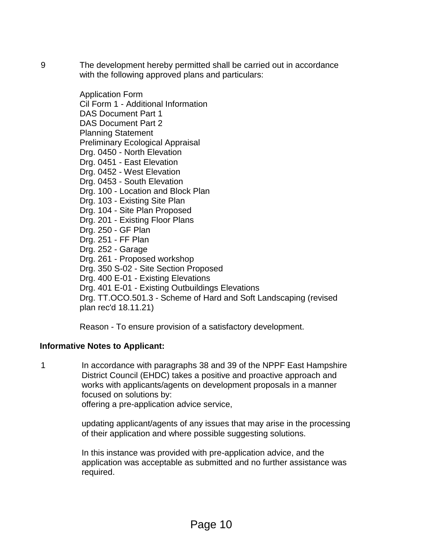9 The development hereby permitted shall be carried out in accordance with the following approved plans and particulars:

> Application Form Cil Form 1 - Additional Information DAS Document Part 1 DAS Document Part 2 Planning Statement Preliminary Ecological Appraisal Drg. 0450 - North Elevation Drg. 0451 - East Elevation Drg. 0452 - West Elevation Drg. 0453 - South Elevation Drg. 100 - Location and Block Plan Drg. 103 - Existing Site Plan Drg. 104 - Site Plan Proposed Drg. 201 - Existing Floor Plans Drg. 250 - GF Plan Drg. 251 - FF Plan Drg. 252 - Garage Drg. 261 - Proposed workshop Drg. 350 S-02 - Site Section Proposed Drg. 400 E-01 - Existing Elevations Drg. 401 E-01 - Existing Outbuildings Elevations Drg. TT.OCO.501.3 - Scheme of Hard and Soft Landscaping (revised plan rec'd 18.11.21)

Reason - To ensure provision of a satisfactory development.

### **Informative Notes to Applicant:**

1 In accordance with paragraphs 38 and 39 of the NPPF East Hampshire District Council (EHDC) takes a positive and proactive approach and works with applicants/agents on development proposals in a manner focused on solutions by:

offering a pre-application advice service,

updating applicant/agents of any issues that may arise in the processing of their application and where possible suggesting solutions.

In this instance was provided with pre-application advice, and the application was acceptable as submitted and no further assistance was required.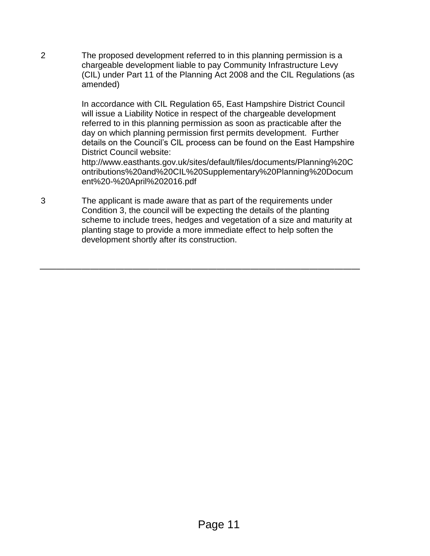2 The proposed development referred to in this planning permission is a chargeable development liable to pay Community Infrastructure Levy (CIL) under Part 11 of the Planning Act 2008 and the CIL Regulations (as amended)

> In accordance with CIL Regulation 65, East Hampshire District Council will issue a Liability Notice in respect of the chargeable development referred to in this planning permission as soon as practicable after the day on which planning permission first permits development. Further details on the Council's CIL process can be found on the East Hampshire District Council website:

> http://www.easthants.gov.uk/sites/default/files/documents/Planning%20C ontributions%20and%20CIL%20Supplementary%20Planning%20Docum ent%20-%20April%202016.pdf

3 The applicant is made aware that as part of the requirements under Condition 3, the council will be expecting the details of the planting scheme to include trees, hedges and vegetation of a size and maturity at planting stage to provide a more immediate effect to help soften the development shortly after its construction.

——————————————————————————————————————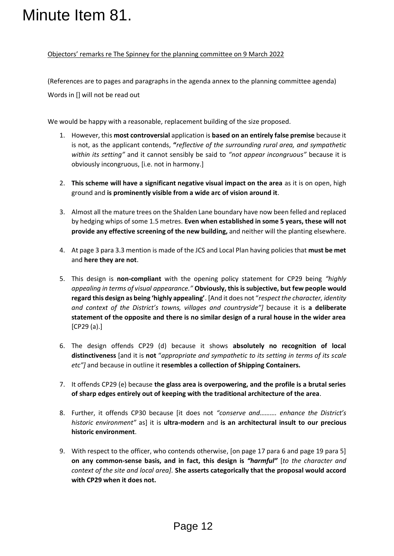#### Objectors' remarks re The Spinney for the planning committee on 9 March 2022

(References are to pages and paragraphs in the agenda annex to the planning committee agenda) Words in [] will not be read out

We would be happy with a reasonable, replacement building of the size proposed.

- 1. However, this **most controversial** application is **based on an entirely false premise** because it is not, as the applicant contends, **"***reflective of the surrounding rural area, and sympathetic within its setting"* and it cannot sensibly be said to *"not appear incongruous"* because it is obviously incongruous, [i.e. not in harmony.]
- 2. **This scheme will have a significant negative visual impact on the area** as it is on open, high ground and **is prominently visible from a wide arc of vision around it**.
- 3. Almost all the mature trees on the Shalden Lane boundary have now been felled and replaced by hedging whips of some 1.5 metres. **Even when established in some 5 years, these will not provide any effective screening of the new building,** and neither will the planting elsewhere.
- 4. At page 3 para 3.3 mention is made of the JCS and Local Plan having policies that **must be met** and **here they are not**.
- 5. This design is **non-compliant** with the opening policy statement for CP29 being *"highly appealing in terms of visual appearance."* **Obviously, this is subjective, but few people would regard this design as being 'highly appealing'**. [And it does not "*respect the character, identity and context of the District's towns, villages and countryside"]* because it is **a deliberate statement of the opposite and there is no similar design of a rural house in the wider area** [CP29 (a).] Minute Item 81.<br>
Diectors' remarks re The Spinney for the planning com<br>
(References are to pages and paragraphs in the agenda<br>
We would be happy with a reasonable, replacement bul<br>
1. However, this most controversial appli
	- 6. The design offends CP29 (d) because it shows **absolutely no recognition of local distinctiveness** [and it is **not** "*appropriate and sympathetic to its setting in terms of its scale etc"]* and because in outline it **resembles a collection of Shipping Containers.**
	- 7. It offends CP29 (e) because **the glass area is overpowering, and the profile is a brutal series of sharp edges entirely out of keeping with the traditional architecture of the area**.
	- 8. Further, it offends CP30 because [it does not *"conserve and………. enhance the District's historic environment"* as] it is **ultra-modern** and **is an architectural insult to our precious historic environment**.
	- 9. With respect to the officer, who contends otherwise, [on page 17 para 6 and page 19 para 5] **on any common-sense basis, and in fact, this design is** *"harmful"* [*to the character and context of the site and local area].* **She asserts categorically that the proposal would accord with CP29 when it does not.**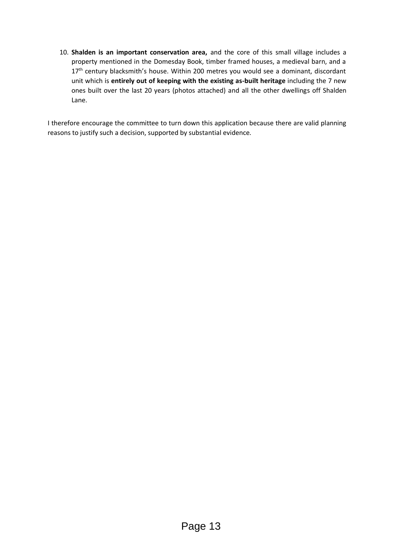10. **Shalden is an important conservation area,** and the core of this small village includes a property mentioned in the Domesday Book, timber framed houses, a medieval barn, and a 17<sup>th</sup> century blacksmith's house. Within 200 metres you would see a dominant, discordant unit which is **entirely out of keeping with the existing as-built heritage** including the 7 new ones built over the last 20 years (photos attached) and all the other dwellings off Shalden Lane.

I therefore encourage the committee to turn down this application because there are valid planning reasons to justify such a decision, supported by substantial evidence.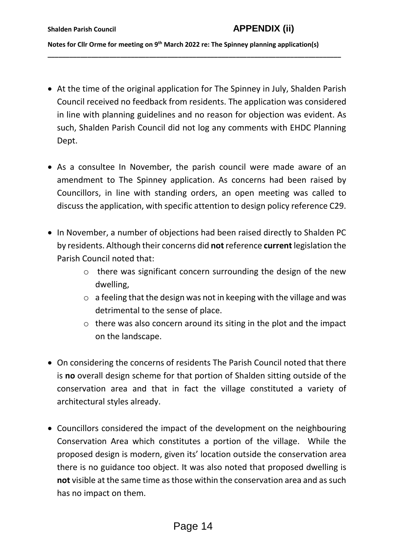**Notes for Cllr Orme for meeting on 9th March 2022 re: The Spinney planning application(s)**

**\_\_\_\_\_\_\_\_\_\_\_\_\_\_\_\_\_\_\_\_\_\_\_\_\_\_\_\_\_\_\_\_\_\_\_\_\_\_\_\_\_\_\_\_\_\_\_\_\_\_\_\_\_\_\_\_\_\_\_\_\_\_\_\_\_\_\_\_\_\_\_\_\_\_\_\_\_\_\_\_\_**

- At the time of the original application for The Spinney in July, Shalden Parish Council received no feedback from residents. The application was considered in line with planning guidelines and no reason for objection was evident. As such, Shalden Parish Council did not log any comments with EHDC Planning Dept.
- As a consultee In November, the parish council were made aware of an amendment to The Spinney application. As concerns had been raised by Councillors, in line with standing orders, an open meeting was called to discuss the application, with specific attention to design policy reference C29.
- In November, a number of objections had been raised directly to Shalden PC by residents. Although their concerns did **not** reference **current** legislation the Parish Council noted that:
	- o there was significant concern surrounding the design of the new dwelling,
	- $\circ$  a feeling that the design was not in keeping with the village and was detrimental to the sense of place.
	- $\circ$  there was also concern around its siting in the plot and the impact on the landscape.
- On considering the concerns of residents The Parish Council noted that there is **no** overall design scheme for that portion of Shalden sitting outside of the conservation area and that in fact the village constituted a variety of architectural styles already.
- Councillors considered the impact of the development on the neighbouring Conservation Area which constitutes a portion of the village. While the proposed design is modern, given its' location outside the conservation area there is no guidance too object. It was also noted that proposed dwelling is **not** visible at the same time as those within the conservation area and as such has no impact on them.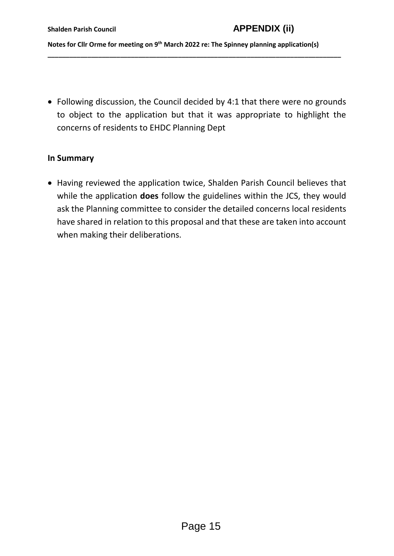**Notes for Cllr Orme for meeting on 9th March 2022 re: The Spinney planning application(s)**

**\_\_\_\_\_\_\_\_\_\_\_\_\_\_\_\_\_\_\_\_\_\_\_\_\_\_\_\_\_\_\_\_\_\_\_\_\_\_\_\_\_\_\_\_\_\_\_\_\_\_\_\_\_\_\_\_\_\_\_\_\_\_\_\_\_\_\_\_\_\_\_\_\_\_\_\_\_\_\_\_\_**

 Following discussion, the Council decided by 4:1 that there were no grounds to object to the application but that it was appropriate to highlight the concerns of residents to EHDC Planning Dept

#### **In Summary**

 Having reviewed the application twice, Shalden Parish Council believes that while the application **does** follow the guidelines within the JCS, they would ask the Planning committee to consider the detailed concerns local residents have shared in relation to this proposal and that these are taken into account when making their deliberations.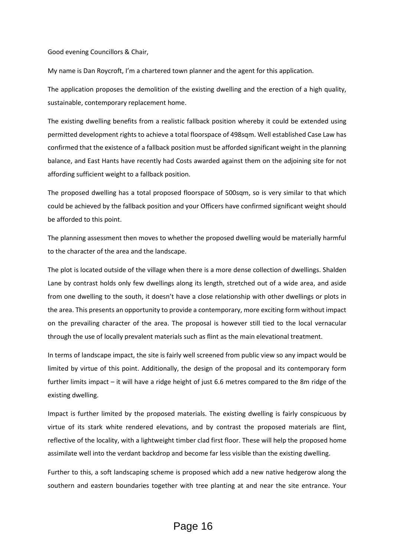Good evening Councillors & Chair,

My name is Dan Roycroft, I'm a chartered town planner and the agent for this application.

The application proposes the demolition of the existing dwelling and the erection of a high quality, sustainable, contemporary replacement home.

The existing dwelling benefits from a realistic fallback position whereby it could be extended using permitted development rights to achieve a total floorspace of 498sqm. Well established Case Law has confirmed that the existence of a fallback position must be afforded significant weight in the planning balance, and East Hants have recently had Costs awarded against them on the adjoining site for not affording sufficient weight to a fallback position.

The proposed dwelling has a total proposed floorspace of 500sqm, so is very similar to that which could be achieved by the fallback position and your Officers have confirmed significant weight should be afforded to this point.

The planning assessment then moves to whether the proposed dwelling would be materially harmful to the character of the area and the landscape.

The plot is located outside of the village when there is a more dense collection of dwellings. Shalden Lane by contrast holds only few dwellings along its length, stretched out of a wide area, and aside from one dwelling to the south, it doesn't have a close relationship with other dwellings or plots in the area. This presents an opportunity to provide a contemporary, more exciting form without impact on the prevailing character of the area. The proposal is however still tied to the local vernacular through the use of locally prevalent materials such as flint as the main elevational treatment.

In terms of landscape impact, the site is fairly well screened from public view so any impact would be limited by virtue of this point. Additionally, the design of the proposal and its contemporary form further limits impact – it will have a ridge height of just 6.6 metres compared to the 8m ridge of the existing dwelling.

Impact is further limited by the proposed materials. The existing dwelling is fairly conspicuous by virtue of its stark white rendered elevations, and by contrast the proposed materials are flint, reflective of the locality, with a lightweight timber clad first floor. These will help the proposed home assimilate well into the verdant backdrop and become far less visible than the existing dwelling.

Further to this, a soft landscaping scheme is proposed which add a new native hedgerow along the southern and eastern boundaries together with tree planting at and near the site entrance. Your